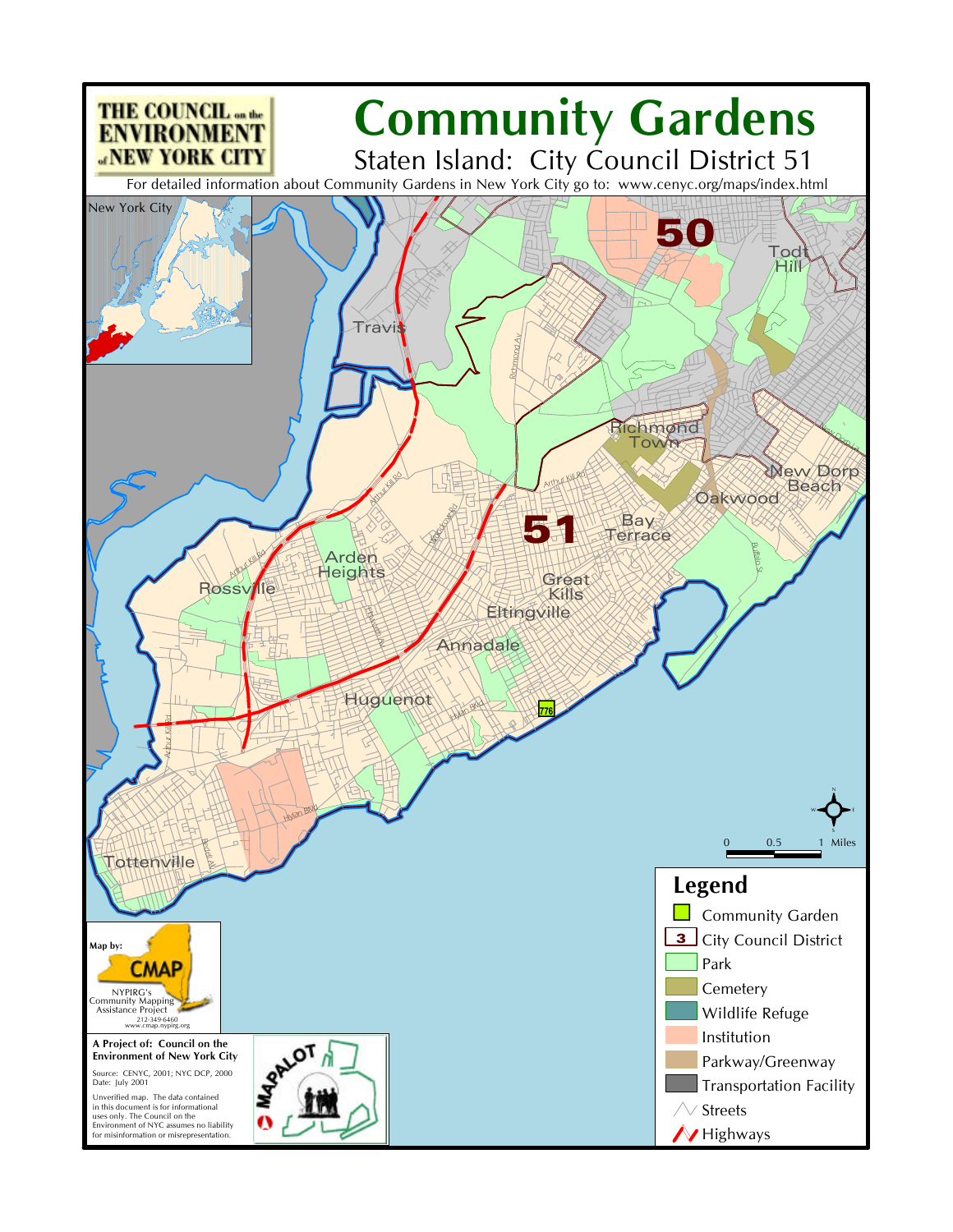